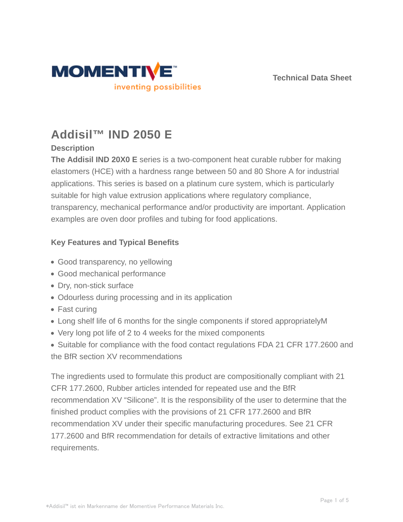



# **Addisil™ IND 2050 E**

# **Description**

**The Addisil IND 20X0 E** series is a two-component heat curable rubber for making elastomers (HCE) with a hardness range between 50 and 80 Shore A for industrial applications. This series is based on a platinum cure system, which is particularly suitable for high value extrusion applications where regulatory compliance, transparency, mechanical performance and/or productivity are important. Application examples are oven door profiles and tubing for food applications.

# **Key Features and Typical Benefits**

- Good transparency, no yellowing
- Good mechanical performance
- Dry, non-stick surface
- Odourless during processing and in its application
- Fast curing
- Long shelf life of 6 months for the single components if stored appropriatelyM
- Very long pot life of 2 to 4 weeks for the mixed components
- Suitable for compliance with the food contact regulations FDA 21 CFR 177.2600 and the BfR section XV recommendations

The ingredients used to formulate this product are compositionally compliant with 21 CFR 177.2600, Rubber articles intended for repeated use and the BfR recommendation XV "Silicone". It is the responsibility of the user to determine that the finished product complies with the provisions of 21 CFR 177.2600 and BfR recommendation XV under their specific manufacturing procedures. See 21 CFR 177.2600 and BfR recommendation for details of extractive limitations and other requirements.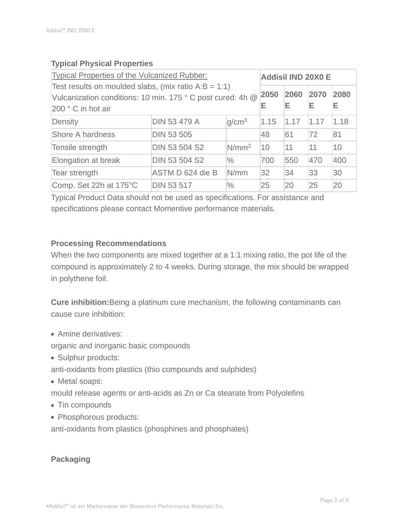# **Typical Physical Properties**

| Typical Properties of the Vulcanized Rubber:                                                                                                |                      |                   |           | <b>Addisil IND 20X0 E</b> |           |           |  |
|---------------------------------------------------------------------------------------------------------------------------------------------|----------------------|-------------------|-----------|---------------------------|-----------|-----------|--|
| Test results on moulded slabs, (mix ratio $A:B = 1:1$ )<br>Vulcanization conditions: 10 min. 175 ° C post cured: 4h @<br>200 ° C in hot air |                      |                   | 2050<br>Е | 2060<br>Е                 | 2070<br>Е | 2080<br>Е |  |
| Density                                                                                                                                     | <b>DIN 53 479 A</b>  | q/cm <sup>3</sup> | 1.15      | 1.17                      | 1.17      | 1.18      |  |
| <b>Shore A hardness</b>                                                                                                                     | <b>DIN 53 505</b>    |                   | 48        | 61                        | 72        | 81        |  |
| Tensile strength                                                                                                                            | <b>DIN 53 504 S2</b> | N/mm <sup>2</sup> | 10        | 11                        | 11        | 10        |  |
| Elongation at break                                                                                                                         | <b>DIN 53 504 S2</b> | $\frac{0}{0}$     | 700       | 550                       | 470       | 400       |  |
| Tear strength                                                                                                                               | ASTM D 624 die B     | N/mm              | 32        | 34                        | 33        | 30        |  |
| Comp. Set 22h at 175°C                                                                                                                      | <b>DIN 53 517</b>    | $\%$              | 25        | 20                        | 25        | 20        |  |

Typical Product Data should not be used as specifications. For assistance and specifications please contact Momentive performance materials.

# **Processing Recommendations**

When the two components are mixed together at a 1:1 mixing ratio, the pot life of the compound is approximately 2 to 4 weeks. During storage, the mix should be wrapped in polythene foil.

**Cure inhibition:**Being a platinum cure mechanism, the following contaminants can cause cure inhibition:

• Amine derivatives:

organic and inorganic basic compounds

- Sulphur products:
- anti-oxidants from plastics (thio compounds and sulphides)
- Metal soaps:

mould release agents or anti-acids as Zn or Ca stearate from Polyolefins

- Tin compounds
- Phosphorous products:

anti-oxidants from plastics (phosphines and phosphates)

# **Packaging**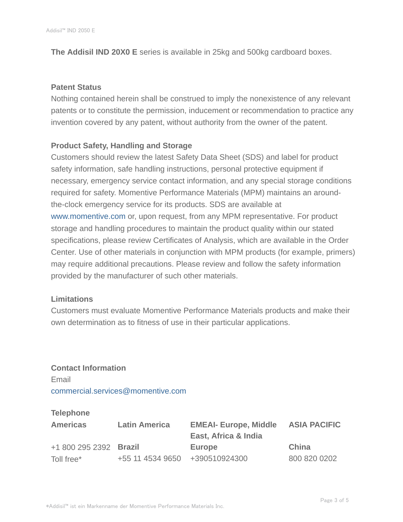**The Addisil IND 20X0 E** series is available in 25kg and 500kg cardboard boxes.

#### **Patent Status**

Nothing contained herein shall be construed to imply the nonexistence of any relevant patents or to constitute the permission, inducement or recommendation to practice any invention covered by any patent, without authority from the owner of the patent.

# **Product Safety, Handling and Storage**

Customers should review the latest Safety Data Sheet (SDS) and label for product safety information, safe handling instructions, personal protective equipment if necessary, emergency service contact information, and any special storage conditions required for safety. Momentive Performance Materials (MPM) maintains an aroundthe-clock emergency service for its products. SDS are available at www.momentive.com or, upon request, from any MPM representative. For product storage and handling procedures to maintain the product quality within our stated specifications, please review Certificates of Analysis, which are available in the Order Center. Use of other materials in conjunction with MPM products (for example, primers) may require additional precautions. Please review and follow the safety information provided by the manufacturer of such other materials.

#### **Limitations**

Customers must evaluate Momentive Performance Materials products and make their own determination as to fitness of use in their particular applications.

**Contact Information** Email commercial.services@momentive.com

# **Telephone**

| <b>Americas</b>        | <b>Latin America</b>           | <b>EMEAI- Europe, Middle</b><br>East, Africa & India | <b>ASIA PACIFIC</b> |
|------------------------|--------------------------------|------------------------------------------------------|---------------------|
| +1 800 295 2392 Brazil |                                | Europe                                               | China               |
| Toll free*             | +55 11 4534 9650 +390510924300 |                                                      | 800 820 0202        |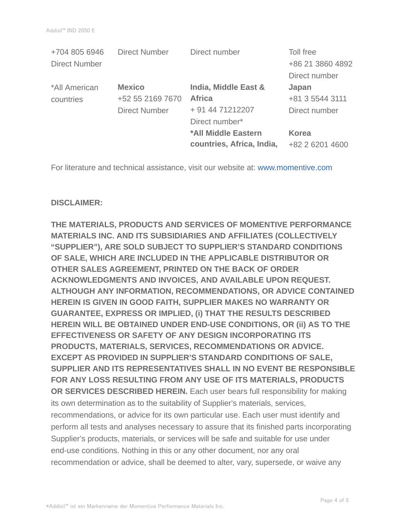| <b>Direct Number</b> | Direct number             | Toll free        |
|----------------------|---------------------------|------------------|
|                      |                           | +86 21 3860 4892 |
|                      |                           | Direct number    |
| <b>Mexico</b>        | India, Middle East &      | Japan            |
| +52 55 2169 7670     | <b>Africa</b>             | +81 3 5544 3111  |
| <b>Direct Number</b> | + 91 44 71212207          | Direct number    |
|                      | Direct number*            |                  |
|                      | *All Middle Eastern       | <b>Korea</b>     |
|                      | countries, Africa, India, | +82 2 6201 4600  |
|                      |                           |                  |

For literature and technical assistance, visit our website at: www.momentive.com

#### **DISCLAIMER:**

**THE MATERIALS, PRODUCTS AND SERVICES OF MOMENTIVE PERFORMANCE MATERIALS INC. AND ITS SUBSIDIARIES AND AFFILIATES (COLLECTIVELY "SUPPLIER"), ARE SOLD SUBJECT TO SUPPLIER'S STANDARD CONDITIONS OF SALE, WHICH ARE INCLUDED IN THE APPLICABLE DISTRIBUTOR OR OTHER SALES AGREEMENT, PRINTED ON THE BACK OF ORDER ACKNOWLEDGMENTS AND INVOICES, AND AVAILABLE UPON REQUEST. ALTHOUGH ANY INFORMATION, RECOMMENDATIONS, OR ADVICE CONTAINED HEREIN IS GIVEN IN GOOD FAITH, SUPPLIER MAKES NO WARRANTY OR GUARANTEE, EXPRESS OR IMPLIED, (i) THAT THE RESULTS DESCRIBED HEREIN WILL BE OBTAINED UNDER END-USE CONDITIONS, OR (ii) AS TO THE EFFECTIVENESS OR SAFETY OF ANY DESIGN INCORPORATING ITS PRODUCTS, MATERIALS, SERVICES, RECOMMENDATIONS OR ADVICE. EXCEPT AS PROVIDED IN SUPPLIER'S STANDARD CONDITIONS OF SALE, SUPPLIER AND ITS REPRESENTATIVES SHALL IN NO EVENT BE RESPONSIBLE FOR ANY LOSS RESULTING FROM ANY USE OF ITS MATERIALS, PRODUCTS OR SERVICES DESCRIBED HEREIN.** Each user bears full responsibility for making its own determination as to the suitability of Supplier's materials, services, recommendations, or advice for its own particular use. Each user must identify and perform all tests and analyses necessary to assure that its finished parts incorporating Supplier's products, materials, or services will be safe and suitable for use under end-use conditions. Nothing in this or any other document, nor any oral recommendation or advice, shall be deemed to alter, vary, supersede, or waive any